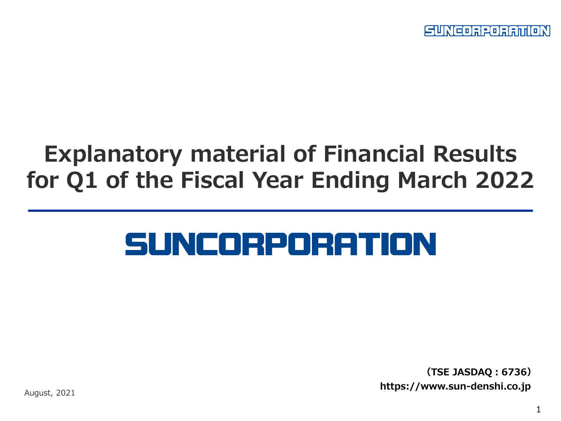SUNEORPORATION

## **Explanatory material of Financial Results for Q1 of the Fiscal Year Ending March 2022**

# SUNCORPORATION

**(TSE JASDAQ:6736) https://www.sun-denshi.co.jp**

August, 2021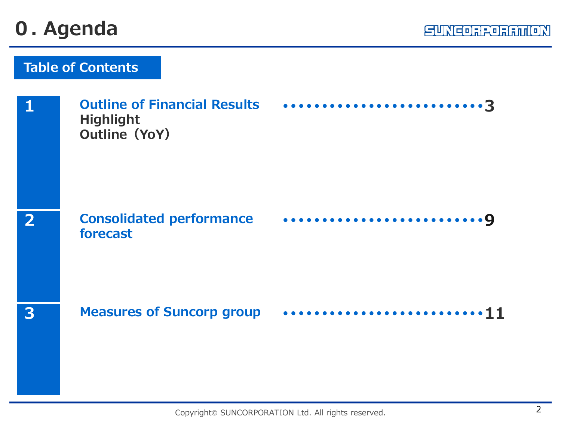### **0. Agenda**

| 1            | <b>Highlight</b><br><b>Outline (YoY)</b>    | Outline of Financial Results 3 |
|--------------|---------------------------------------------|--------------------------------|
| $\mathbf{2}$ | <b>Consolidated performance</b><br>forecast |                                |
| 3            |                                             |                                |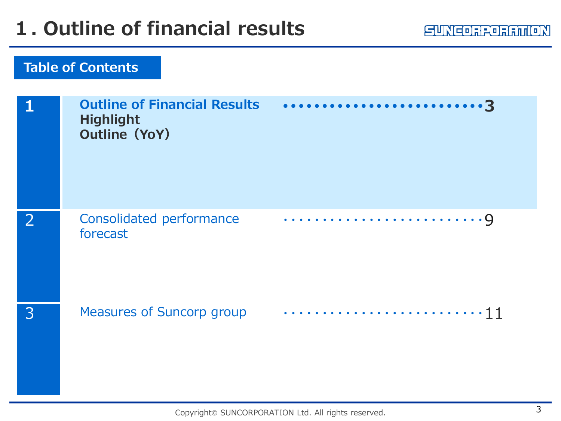|   | <b>Outline of Financial Results</b><br><b>Highlight</b><br><b>Outline (YoY)</b> |  |
|---|---------------------------------------------------------------------------------|--|
|   | Consolidated performance<br>forecast                                            |  |
| 3 | <b>Measures of Suncorp group</b>                                                |  |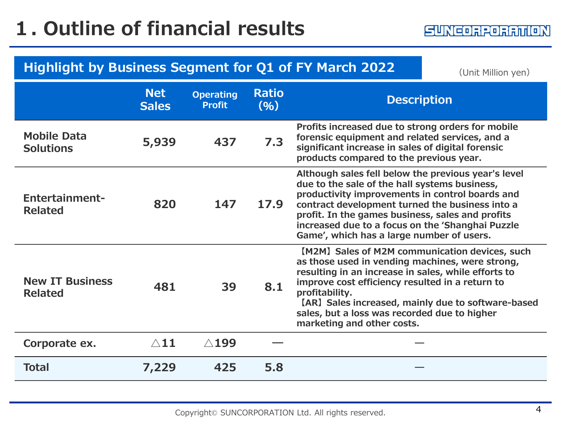#### **Highlight by Business Segment for Q1 of FY March 2022** (Unit Million yen)

|                                          | <b>Net</b><br><b>Sales</b> | <b>Operating</b><br><b>Profit</b> | <b>Ratio</b><br>(96) | <b>Description</b>                                                                                                                                                                                                                                                                                                                                                |
|------------------------------------------|----------------------------|-----------------------------------|----------------------|-------------------------------------------------------------------------------------------------------------------------------------------------------------------------------------------------------------------------------------------------------------------------------------------------------------------------------------------------------------------|
| <b>Mobile Data</b><br><b>Solutions</b>   | 5,939                      | 437                               | 7.3                  | Profits increased due to strong orders for mobile<br>forensic equipment and related services, and a<br>significant increase in sales of digital forensic<br>products compared to the previous year.                                                                                                                                                               |
| <b>Entertainment-</b><br><b>Related</b>  | 820                        | 147                               | 17.9                 | Although sales fell below the previous year's level<br>due to the sale of the hall systems business,<br>productivity improvements in control boards and<br>contract development turned the business into a<br>profit. In the games business, sales and profits<br>increased due to a focus on the 'Shanghai Puzzle<br>Game', which has a large number of users.   |
| <b>New IT Business</b><br><b>Related</b> | 481                        | 39                                | 8.1                  | [M2M] Sales of M2M communication devices, such<br>as those used in vending machines, were strong,<br>resulting in an increase in sales, while efforts to<br>improve cost efficiency resulted in a return to<br>profitability.<br>[AR] Sales increased, mainly due to software-based<br>sales, but a loss was recorded due to higher<br>marketing and other costs. |
| Corporate ex.                            | $\triangle$ 11             | $\triangle$ 199                   |                      |                                                                                                                                                                                                                                                                                                                                                                   |
| <b>Total</b>                             | 7,229                      | 425                               | 5.8                  |                                                                                                                                                                                                                                                                                                                                                                   |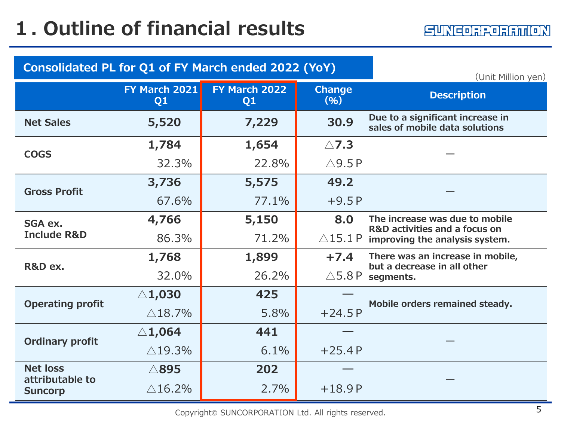| Consolidated PL for Q1 of FY March ended 2022 (YoY)<br>(Unit Million yen) |                                 |                                 |                       |                                                                    |  |
|---------------------------------------------------------------------------|---------------------------------|---------------------------------|-----------------------|--------------------------------------------------------------------|--|
|                                                                           | FY March 2021<br>Q <sub>1</sub> | FY March 2022<br>Q <sub>1</sub> | <b>Change</b><br>(96) | <b>Description</b>                                                 |  |
| <b>Net Sales</b>                                                          | 5,520                           | 7,229                           | 30.9                  | Due to a significant increase in<br>sales of mobile data solutions |  |
| <b>COGS</b>                                                               | 1,784                           | 1,654                           | $\triangle$ 7.3       |                                                                    |  |
|                                                                           | 32.3%                           | 22.8%                           | $\triangle$ 9.5P      |                                                                    |  |
| <b>Gross Profit</b>                                                       | 3,736                           | 5,575                           | 49.2                  |                                                                    |  |
|                                                                           | 67.6%                           | 77.1%                           | $+9.5P$               |                                                                    |  |
| SGA ex.                                                                   | 4,766                           | 5,150                           | 8.0                   | The increase was due to mobile<br>R&D activities and a focus on    |  |
| <b>Include R&amp;D</b>                                                    | 86.3%                           | 71.2%                           | $\triangle$ 15.1 P    | improving the analysis system.                                     |  |
| R&D ex.                                                                   | 1,768                           | 1,899                           | $+7.4$                | There was an increase in mobile,<br>but a decrease in all other    |  |
|                                                                           | 32.0%                           | 26.2%                           | $\triangle$ 5.8 P     | segments.                                                          |  |
| <b>Operating profit</b>                                                   | $\triangle$ 1,030               | 425                             |                       | Mobile orders remained steady.                                     |  |
|                                                                           | $\triangle$ 18.7%               | 5.8%                            | $+24.5P$              |                                                                    |  |
| <b>Ordinary profit</b>                                                    | $\triangle$ 1,064               | 441                             |                       |                                                                    |  |
|                                                                           | $\triangle$ 19.3%               | 6.1%                            | $+25.4P$              |                                                                    |  |
| <b>Net loss</b><br>attributable to                                        | $\triangle$ 895                 | 202                             |                       |                                                                    |  |
| <b>Suncorp</b>                                                            | $\triangle$ 16.2%               | 2.7%                            | $+18.9P$              |                                                                    |  |

Copyright© SUNCORPORATION Ltd. All rights reserved. 5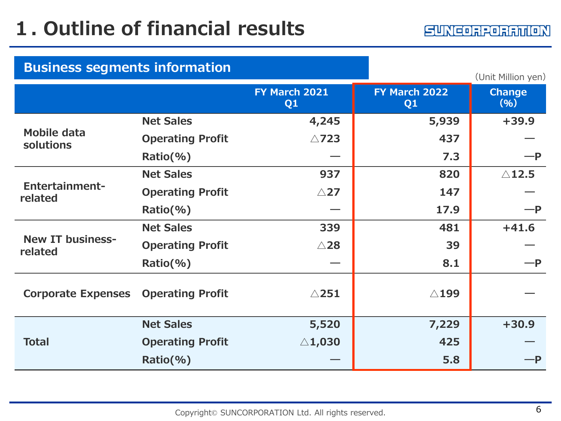| <b>Business segments information</b><br>(Unit Million yen) |                         |                                 |                                 |                       |  |
|------------------------------------------------------------|-------------------------|---------------------------------|---------------------------------|-----------------------|--|
|                                                            |                         | FY March 2021<br>Q <sub>1</sub> | FY March 2022<br>Q <sub>1</sub> | <b>Change</b><br>(96) |  |
|                                                            | <b>Net Sales</b>        | 4,245                           | 5,939                           | $+39.9$               |  |
| Mobile data<br>solutions                                   | <b>Operating Profit</b> | $\triangle$ 723                 | 437                             |                       |  |
|                                                            | $Ratio(\% )$            |                                 | 7.3                             | $-P$                  |  |
|                                                            | <b>Net Sales</b>        | 937                             | 820                             | $\triangle$ 12.5      |  |
| <b>Entertainment-</b><br>related                           | <b>Operating Profit</b> | $\triangle$ 27                  | 147                             |                       |  |
|                                                            | $Ratio(\% )$            |                                 | 17.9                            | $-P$                  |  |
|                                                            | <b>Net Sales</b>        | 339                             | 481                             | $+41.6$               |  |
| <b>New IT business-</b><br>related                         | <b>Operating Profit</b> | $\triangle$ 28                  | 39                              |                       |  |
|                                                            | $Ratio(\% )$            |                                 | 8.1                             | -P                    |  |
| <b>Corporate Expenses</b>                                  | <b>Operating Profit</b> | $\triangle$ 251                 | $\triangle$ 199                 |                       |  |
|                                                            | <b>Net Sales</b>        | 5,520                           | 7,229                           | $+30.9$               |  |
| <b>Total</b>                                               | <b>Operating Profit</b> | $\triangle$ 1,030               | 425                             |                       |  |
|                                                            | $Ratio(\% )$            |                                 | 5.8                             | $-P$                  |  |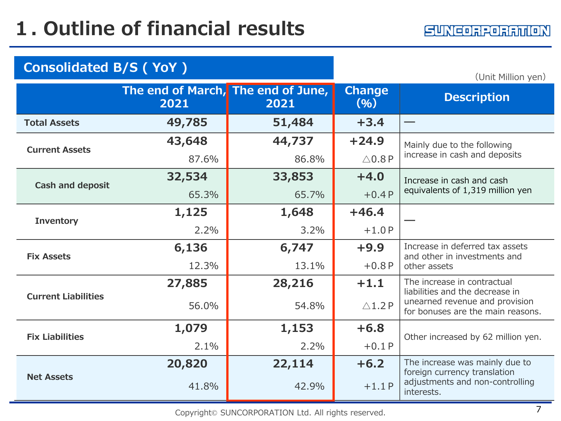| <b>Consolidated B/S (YoY)</b> |                                            |        | (Unit Million yen)    |                                                                     |  |
|-------------------------------|--------------------------------------------|--------|-----------------------|---------------------------------------------------------------------|--|
|                               | The end of March, The end of June,<br>2021 | 2021   | <b>Change</b><br>(96) | <b>Description</b>                                                  |  |
| <b>Total Assets</b>           | 49,785                                     | 51,484 | $+3.4$                |                                                                     |  |
| <b>Current Assets</b>         | 43,648                                     | 44,737 | $+24.9$               | Mainly due to the following                                         |  |
|                               | 87.6%                                      | 86.8%  | $\triangle$ 0.8 P     | increase in cash and deposits                                       |  |
| <b>Cash and deposit</b>       | 32,534                                     | 33,853 | $+4.0$                | Increase in cash and cash                                           |  |
|                               | 65.3%                                      | 65.7%  | $+0.4P$               | equivalents of 1,319 million yen                                    |  |
| <b>Inventory</b>              | 1,125                                      | 1,648  | $+46.4$               |                                                                     |  |
|                               | 2.2%                                       | 3.2%   | $+1.0P$               |                                                                     |  |
| <b>Fix Assets</b>             | 6,136                                      | 6,747  | $+9.9$                | Increase in deferred tax assets<br>and other in investments and     |  |
|                               | 12.3%                                      | 13.1%  | $+0.8P$               | other assets                                                        |  |
|                               | 27,885                                     | 28,216 | $+1.1$                | The increase in contractual<br>liabilities and the decrease in      |  |
| <b>Current Liabilities</b>    | 56.0%                                      | 54.8%  | $\triangle$ 1.2P      | unearned revenue and provision<br>for bonuses are the main reasons. |  |
| <b>Fix Liabilities</b>        | 1,079                                      | 1,153  | $+6.8$                | Other increased by 62 million yen.                                  |  |
|                               | 2.1%                                       | 2.2%   | $+0.1P$               |                                                                     |  |
|                               | 20,820                                     | 22,114 | $+6.2$                | The increase was mainly due to<br>foreign currency translation      |  |
| <b>Net Assets</b>             | 41.8%                                      | 42.9%  | $+1.1P$               | adjustments and non-controlling<br>interests.                       |  |

Copyright© SUNCORPORATION Ltd. All rights reserved. 7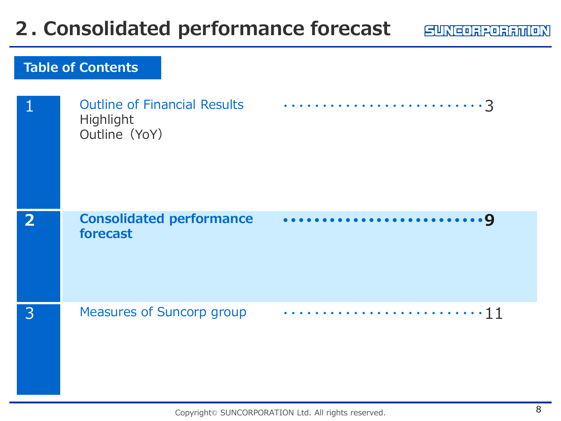### **2. Consolidated performance forecast**

|                | <b>Outline of Financial Results</b><br>Highlight<br>Outline (YoY) |  |
|----------------|-------------------------------------------------------------------|--|
| $\overline{2}$ | <b>Consolidated performance</b><br>forecast                       |  |
| 3              | <b>Measures of Suncorp group</b>                                  |  |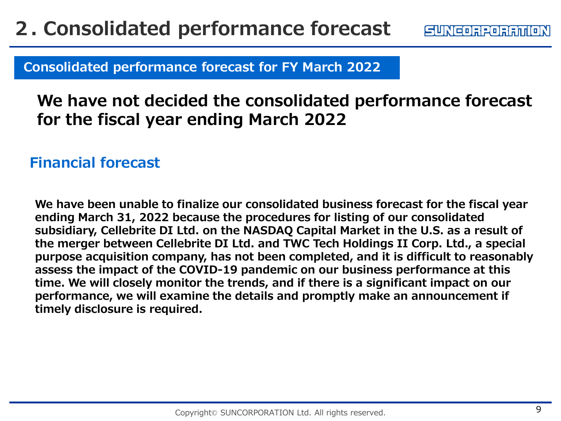### **2. Consolidated performance forecast**

**Consolidated performance forecast for FY March 2022**

### **We have not decided the consolidated performance forecast for the fiscal year ending March 2022**

#### **Financial forecast**

**We have been unable to finalize our consolidated business forecast for the fiscal year ending March 31, 2022 because the procedures for listing of our consolidated subsidiary, Cellebrite DI Ltd. on the NASDAQ Capital Market in the U.S. as a result of the merger between Cellebrite DI Ltd. and TWC Tech Holdings II Corp. Ltd., a special purpose acquisition company, has not been completed, and it is difficult to reasonably assess the impact of the COVID-19 pandemic on our business performance at this time. We will closely monitor the trends, and if there is a significant impact on our performance, we will examine the details and promptly make an announcement if timely disclosure is required.**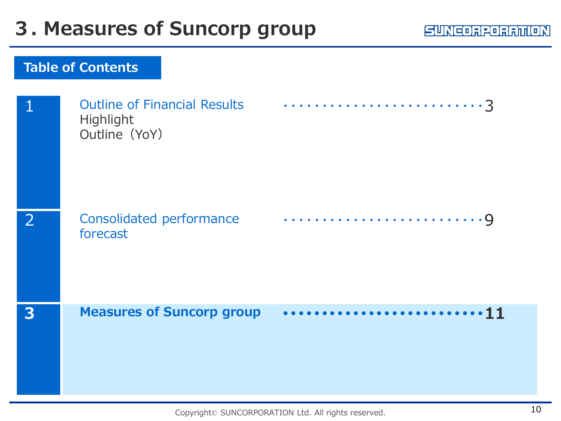#### **SUNCORPORATION**

| 1              | <b>Outline of Financial Results</b><br>Highlight<br>Outline (YoY) |  |
|----------------|-------------------------------------------------------------------|--|
| $\overline{2}$ | Consolidated performance<br>forecast                              |  |
| 3              | <b>Measures of Suncorp group</b>                                  |  |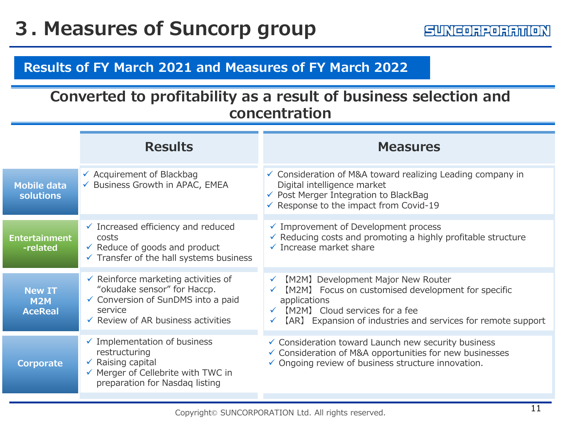#### **Results of FY March 2021 and Measures of FY March 2022**

#### **Converted to profitability as a result of business selection and concentration**

|                                               | <b>Results</b>                                                                                                                                                                  | <b>Measures</b>                                                                                                                                                                                                            |
|-----------------------------------------------|---------------------------------------------------------------------------------------------------------------------------------------------------------------------------------|----------------------------------------------------------------------------------------------------------------------------------------------------------------------------------------------------------------------------|
| <b>Mobile data</b><br><b>solutions</b>        | $\checkmark$ Acquirement of Blackbag<br>← Business Growth in APAC, EMEA                                                                                                         | $\checkmark$ Consideration of M&A toward realizing Leading company in<br>Digital intelligence market<br>✔ Post Merger Integration to BlackBag<br>$\checkmark$ Response to the impact from Covid-19                         |
| <b>Entertainment</b><br>-related              | $\checkmark$ Increased efficiency and reduced<br>costs<br>$\checkmark$ Reduce of goods and product<br>$\checkmark$ Transfer of the hall systems business                        | $\checkmark$ Improvement of Development process<br>$\checkmark$ Reducing costs and promoting a highly profitable structure<br>$\checkmark$ Increase market share                                                           |
| <b>New IT</b><br><b>M2M</b><br><b>AceReal</b> | $\checkmark$ Reinforce marketing activities of<br>"okudake sensor" for Haccp.<br>← Conversion of SunDMS into a paid<br>service<br>$\checkmark$ Review of AR business activities | [M2M] Development Major New Router<br>$\checkmark$<br>[M2M] Focus on customised development for specific<br>applications<br>[M2M] Cloud services for a fee<br>[AR] Expansion of industries and services for remote support |
| <b>Corporate</b>                              | $\checkmark$ Implementation of business<br>restructuring<br>$\checkmark$ Raising capital<br>$\checkmark$ Merger of Cellebrite with TWC in<br>preparation for Nasdaq listing     | $\checkmark$ Consideration toward Launch new security business<br>✓ Consideration of M&A opportunities for new businesses<br>$\checkmark$ Ongoing review of business structure innovation.                                 |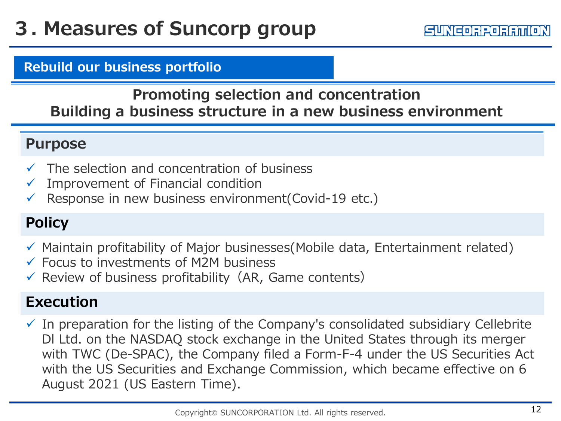#### **Rebuild our business portfolio**

#### **Promoting selection and concentration Building a business structure in a new business environment**

#### **Purpose**

- $\checkmark$  The selection and concentration of business
- $\checkmark$  Improvement of Financial condition
- Response in new business environment(Covid-19 etc.)

#### **Policy**

- $\checkmark$  Maintain profitability of Major businesses(Mobile data, Entertainment related)
- $\checkmark$  Focus to investments of M2M business
- $\checkmark$  Review of business profitability (AR, Game contents)

#### **Execution**

 $\checkmark$  In preparation for the listing of the Company's consolidated subsidiary Cellebrite Dl Ltd. on the NASDAQ stock exchange in the United States through its merger with TWC (De-SPAC), the Company filed a Form-F-4 under the US Securities Act with the US Securities and Exchange Commission, which became effective on 6 August 2021 (US Eastern Time).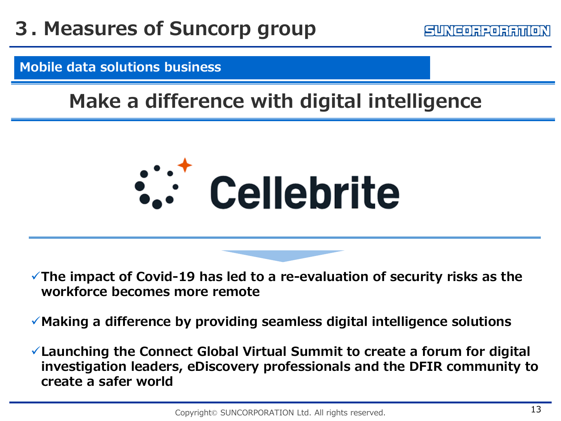#### **Mobile data solutions business**

### **Make a difference with digital intelligence**



**The impact of Covid-19 has led to a re-evaluation of security risks as the workforce becomes more remote**

**Making a difference by providing seamless digital intelligence solutions**

**Launching the Connect Global Virtual Summit to create a forum for digital investigation leaders, eDiscovery professionals and the DFIR community to create a safer world**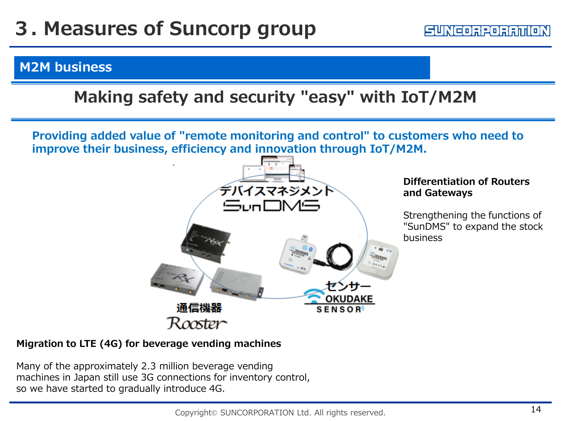#### **M2M business**

#### **Making safety and security "easy" with IoT/M2M**

**Providing added value of "remote monitoring and control" to customers who need to improve their business, efficiency and innovation through IoT/M2M.**



#### **Differentiation of Routers and Gateways**

Strengthening the functions of "SunDMS" to expand the stock business

#### **Migration to LTE (4G) for beverage vending machines**

Many of the approximately 2.3 million beverage vending machines in Japan still use 3G connections for inventory control, so we have started to gradually introduce 4G.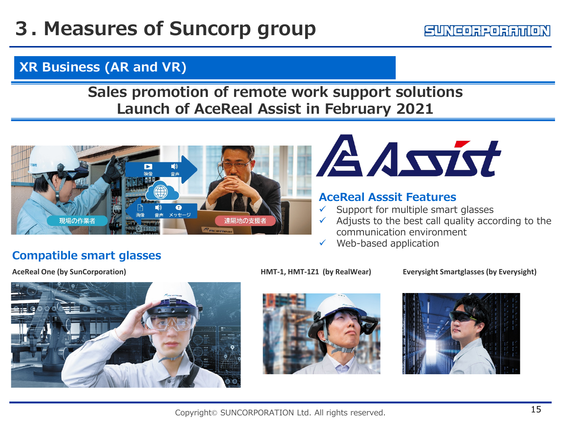#### SUNCORPORATION

#### **XR Business (AR and VR)**

#### **Sales promotion of remote work support solutions Launch of AceReal Assist in February 2021**





#### **AceReal Asssit Features**

- Support for multiple smart glasses
- Adjusts to the best call quality according to the communication environment
- $\checkmark$  Web-based application

#### **Compatible smart glasses**



**AceReal One (by SunCorporation) HMT-1, HMT-1Z1 (by RealWear) Everysight Smartglasses (by Everysight)**





Copyright© SUNCORPORATION Ltd. All rights reserved.